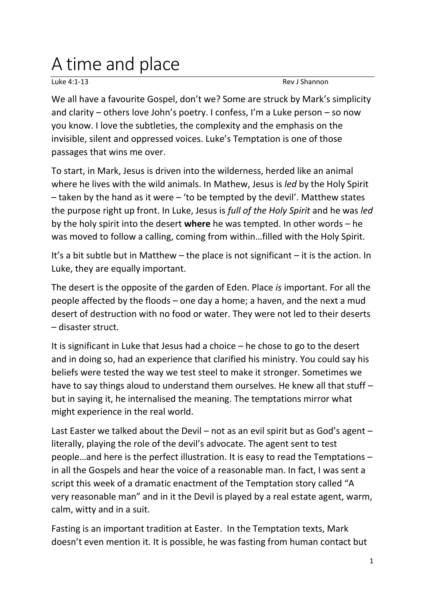## A time and place

Luke 4:1-13 Rev J Shannon

We all have a favourite Gospel, don't we? Some are struck by Mark's simplicity and clarity – others love John's poetry. I confess, I'm a Luke person – so now you know. I love the subtleties, the complexity and the emphasis on the invisible, silent and oppressed voices. Luke's Temptation is one of those passages that wins me over.

To start, in Mark, Jesus is driven into the wilderness, herded like an animal where he lives with the wild animals. In Mathew, Jesus is *led* by the Holy Spirit – taken by the hand as it were – 'to be tempted by the devil'. Matthew states the purpose right up front. In Luke, Jesus is *full of the Holy Spirit* and he was *led* by the holy spirit into the desert **where** he was tempted. In other words – he was moved to follow a calling, coming from within…filled with the Holy Spirit.

It's a bit subtle but in Matthew – the place is not significant – it is the action. In Luke, they are equally important.

The desert is the opposite of the garden of Eden. Place *is* important. For all the people affected by the floods – one day a home; a haven, and the next a mud desert of destruction with no food or water. They were not led to their deserts – disaster struct.

It is significant in Luke that Jesus had a choice – he chose to go to the desert and in doing so, had an experience that clarified his ministry. You could say his beliefs were tested the way we test steel to make it stronger. Sometimes we have to say things aloud to understand them ourselves. He knew all that stuff – but in saying it, he internalised the meaning. The temptations mirror what might experience in the real world.

Last Easter we talked about the Devil – not as an evil spirit but as God's agent – literally, playing the role of the devil's advocate. The agent sent to test people…and here is the perfect illustration. It is easy to read the Temptations – in all the Gospels and hear the voice of a reasonable man. In fact, I was sent a script this week of a dramatic enactment of the Temptation story called "A very reasonable man" and in it the Devil is played by a real estate agent, warm, calm, witty and in a suit.

Fasting is an important tradition at Easter. In the Temptation texts, Mark doesn't even mention it. It is possible, he was fasting from human contact but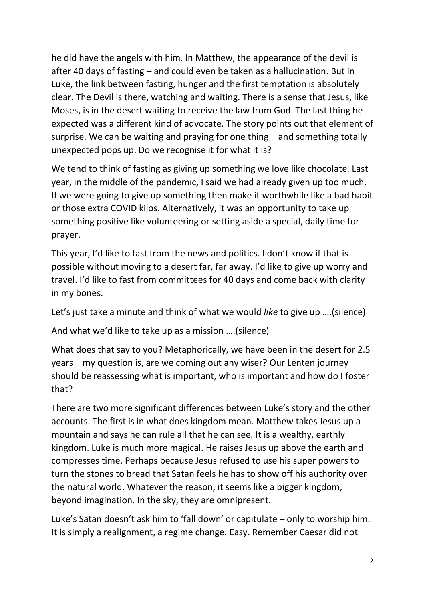he did have the angels with him. In Matthew, the appearance of the devil is after 40 days of fasting – and could even be taken as a hallucination. But in Luke, the link between fasting, hunger and the first temptation is absolutely clear. The Devil is there, watching and waiting. There is a sense that Jesus, like Moses, is in the desert waiting to receive the law from God. The last thing he expected was a different kind of advocate. The story points out that element of surprise. We can be waiting and praying for one thing – and something totally unexpected pops up. Do we recognise it for what it is?

We tend to think of fasting as giving up something we love like chocolate. Last year, in the middle of the pandemic, I said we had already given up too much. If we were going to give up something then make it worthwhile like a bad habit or those extra COVID kilos. Alternatively, it was an opportunity to take up something positive like volunteering or setting aside a special, daily time for prayer.

This year, I'd like to fast from the news and politics. I don't know if that is possible without moving to a desert far, far away. I'd like to give up worry and travel. I'd like to fast from committees for 40 days and come back with clarity in my bones.

Let's just take a minute and think of what we would *like* to give up ….(silence)

And what we'd like to take up as a mission ….(silence)

What does that say to you? Metaphorically, we have been in the desert for 2.5 years – my question is, are we coming out any wiser? Our Lenten journey should be reassessing what is important, who is important and how do I foster that?

There are two more significant differences between Luke's story and the other accounts. The first is in what does kingdom mean. Matthew takes Jesus up a mountain and says he can rule all that he can see. It is a wealthy, earthly kingdom. Luke is much more magical. He raises Jesus up above the earth and compresses time. Perhaps because Jesus refused to use his super powers to turn the stones to bread that Satan feels he has to show off his authority over the natural world. Whatever the reason, it seems like a bigger kingdom, beyond imagination. In the sky, they are omnipresent.

Luke's Satan doesn't ask him to 'fall down' or capitulate – only to worship him. It is simply a realignment, a regime change. Easy. Remember Caesar did not